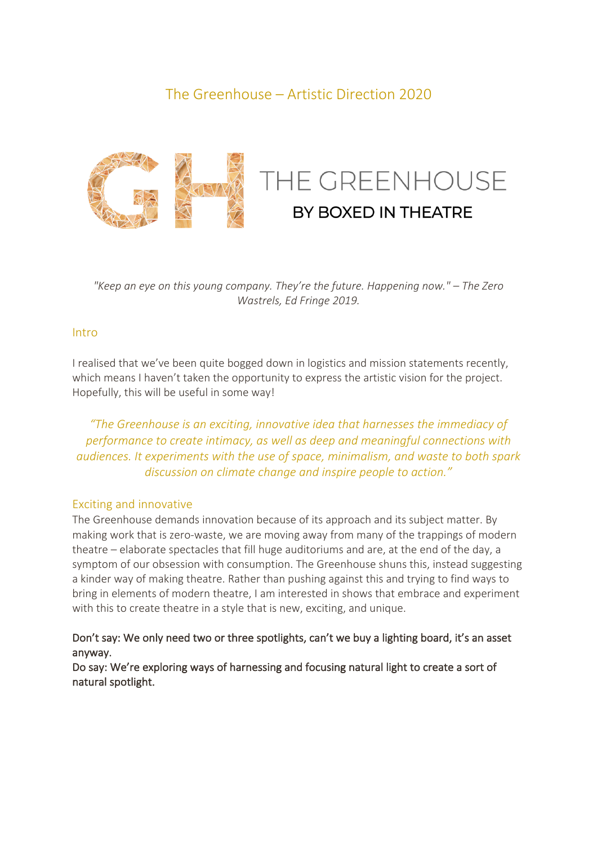# The Greenhouse – Artistic Direction 2020



*"Keep an eye on this young company. They're the future. Happening now." – The Zero Wastrels, Ed Fringe 2019.*

## Intro

I realised that we've been quite bogged down in logistics and mission statements recently, which means I haven't taken the opportunity to express the artistic vision for the project. Hopefully, this will be useful in some way!

*"The Greenhouse is an exciting, innovative idea that harnesses the immediacy of performance to create intimacy, as well as deep and meaningful connections with audiences. It experiments with the use of space, minimalism, and waste to both spark discussion on climate change and inspire people to action."*

#### Exciting and innovative

The Greenhouse demands innovation because of its approach and its subject matter. By making work that is zero-waste, we are moving away from many of the trappings of modern theatre – elaborate spectacles that fill huge auditoriums and are, at the end of the day, a symptom of our obsession with consumption. The Greenhouse shuns this, instead suggesting a kinder way of making theatre. Rather than pushing against this and trying to find ways to bring in elements of modern theatre, I am interested in shows that embrace and experiment with this to create theatre in a style that is new, exciting, and unique.

# Don't say: We only need two or three spotlights, can't we buy a lighting board, it's an asset anyway.

Do say: We're exploring ways of harnessing and focusing natural light to create a sort of natural spotlight.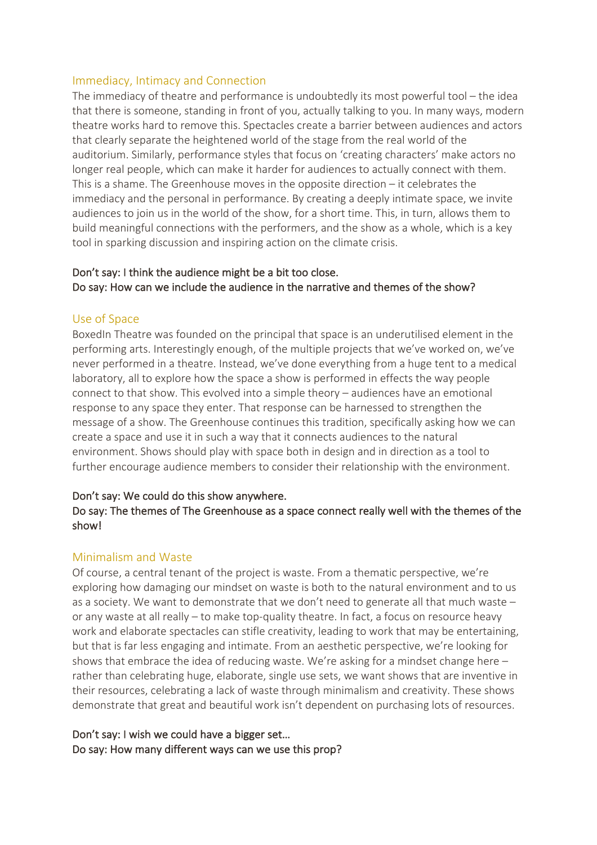## Immediacy, Intimacy and Connection

The immediacy of theatre and performance is undoubtedly its most powerful tool – the idea that there is someone, standing in front of you, actually talking to you. In many ways, modern theatre works hard to remove this. Spectacles create a barrier between audiences and actors that clearly separate the heightened world of the stage from the real world of the auditorium. Similarly, performance styles that focus on 'creating characters' make actors no longer real people, which can make it harder for audiences to actually connect with them. This is a shame. The Greenhouse moves in the opposite direction – it celebrates the immediacy and the personal in performance. By creating a deeply intimate space, we invite audiences to join us in the world of the show, for a short time. This, in turn, allows them to build meaningful connections with the performers, and the show as a whole, which is a key tool in sparking discussion and inspiring action on the climate crisis.

# Don't say: I think the audience might be a bit too close. Do say: How can we include the audience in the narrative and themes of the show?

#### Use of Space

BoxedIn Theatre was founded on the principal that space is an underutilised element in the performing arts. Interestingly enough, of the multiple projects that we've worked on, we've never performed in a theatre. Instead, we've done everything from a huge tent to a medical laboratory, all to explore how the space a show is performed in effects the way people connect to that show. This evolved into a simple theory – audiences have an emotional response to any space they enter. That response can be harnessed to strengthen the message of a show. The Greenhouse continues this tradition, specifically asking how we can create a space and use it in such a way that it connects audiences to the natural environment. Shows should play with space both in design and in direction as a tool to further encourage audience members to consider their relationship with the environment.

#### Don't say: We could do this show anywhere.

## Do say: The themes of The Greenhouse as a space connect really well with the themes of the show!

#### Minimalism and Waste

Of course, a central tenant of the project is waste. From a thematic perspective, we're exploring how damaging our mindset on waste is both to the natural environment and to us as a society. We want to demonstrate that we don't need to generate all that much waste – or any waste at all really – to make top-quality theatre. In fact, a focus on resource heavy work and elaborate spectacles can stifle creativity, leading to work that may be entertaining, but that is far less engaging and intimate. From an aesthetic perspective, we're looking for shows that embrace the idea of reducing waste. We're asking for a mindset change here  $$ rather than celebrating huge, elaborate, single use sets, we want shows that are inventive in their resources, celebrating a lack of waste through minimalism and creativity. These shows demonstrate that great and beautiful work isn't dependent on purchasing lots of resources.

## Don't say: I wish we could have a bigger set… Do say: How many different ways can we use this prop?